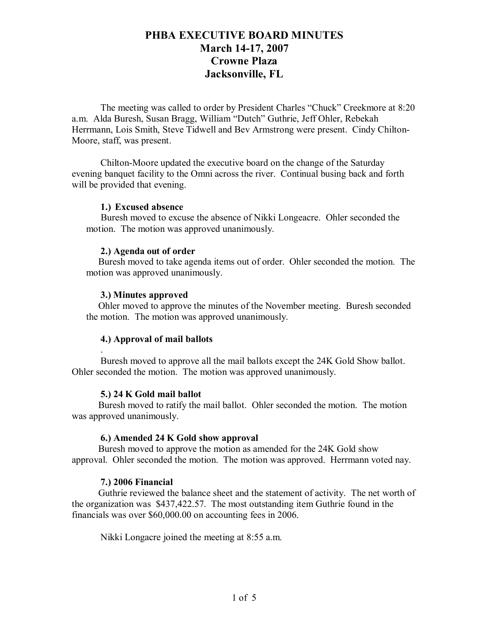The meeting was called to order by President Charles "Chuck" Creekmore at 8:20 a.m. Alda Buresh, Susan Bragg, William "Dutch" Guthrie, Jeff Ohler, Rebekah Herrmann, Lois Smith, Steve Tidwell and Bev Armstrong were present. Cindy Chilton-Moore, staff, was present.

Chilton-Moore updated the executive board on the change of the Saturday evening banquet facility to the Omni across the river. Continual busing back and forth will be provided that evening.

## **1.) Excused absence**

 Buresh moved to excuse the absence of Nikki Longeacre. Ohler seconded the motion. The motion was approved unanimously.

## **2.) Agenda out of order**

 Buresh moved to take agenda items out of order. Ohler seconded the motion. The motion was approved unanimously.

## **3.) Minutes approved**

.

 Ohler moved to approve the minutes of the November meeting. Buresh seconded the motion. The motion was approved unanimously.

## **4.) Approval of mail ballots**

Buresh moved to approve all the mail ballots except the 24K Gold Show ballot. Ohler seconded the motion. The motion was approved unanimously.

## **5.) 24 K Gold mail ballot**

 Buresh moved to ratify the mail ballot. Ohler seconded the motion. The motion was approved unanimously.

## **6.) Amended 24 K Gold show approval**

 Buresh moved to approve the motion as amended for the 24K Gold show approval. Ohler seconded the motion. The motion was approved. Herrmann voted nay.

## **7.) 2006 Financial**

 Guthrie reviewed the balance sheet and the statement of activity. The net worth of the organization was \$437,422.57. The most outstanding item Guthrie found in the financials was over \$60,000.00 on accounting fees in 2006.

Nikki Longacre joined the meeting at 8:55 a.m.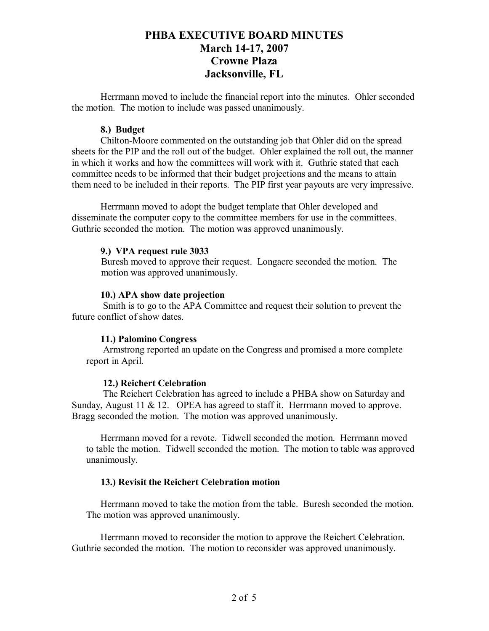Herrmann moved to include the financial report into the minutes. Ohler seconded the motion. The motion to include was passed unanimously.

## **8.) Budget**

Chilton-Moore commented on the outstanding job that Ohler did on the spread sheets for the PIP and the roll out of the budget. Ohler explained the roll out, the manner in which it works and how the committees will work with it. Guthrie stated that each committee needs to be informed that their budget projections and the means to attain them need to be included in their reports. The PIP first year payouts are very impressive.

Herrmann moved to adopt the budget template that Ohler developed and disseminate the computer copy to the committee members for use in the committees. Guthrie seconded the motion. The motion was approved unanimously.

## **9.) VPA request rule 3033**

Buresh moved to approve their request. Longacre seconded the motion. The motion was approved unanimously.

## **10.) APA show date projection**

Smith is to go to the APA Committee and request their solution to prevent the future conflict of show dates.

#### **11.) Palomino Congress**

Armstrong reported an update on the Congress and promised a more complete report in April.

## **12.) Reichert Celebration**

 The Reichert Celebration has agreed to include a PHBA show on Saturday and Sunday, August 11 & 12. OPEA has agreed to staff it. Herrmann moved to approve. Bragg seconded the motion. The motion was approved unanimously.

Herrmann moved for a revote. Tidwell seconded the motion. Herrmann moved to table the motion. Tidwell seconded the motion. The motion to table was approved unanimously.

## **13.) Revisit the Reichert Celebration motion**

Herrmann moved to take the motion from the table. Buresh seconded the motion. The motion was approved unanimously.

Herrmann moved to reconsider the motion to approve the Reichert Celebration. Guthrie seconded the motion. The motion to reconsider was approved unanimously.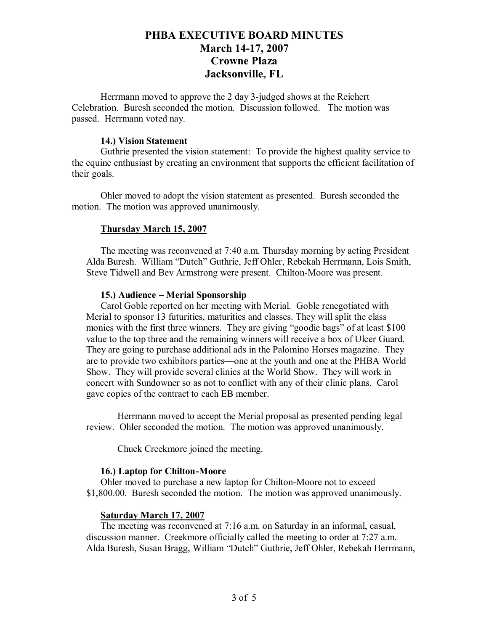Herrmann moved to approve the 2 day 3-judged shows at the Reichert Celebration. Buresh seconded the motion. Discussion followed. The motion was passed. Herrmann voted nay.

## **14.) Vision Statement**

Guthrie presented the vision statement: To provide the highest quality service to the equine enthusiast by creating an environment that supports the efficient facilitation of their goals.

Ohler moved to adopt the vision statement as presented. Buresh seconded the motion. The motion was approved unanimously.

## **Thursday March 15, 2007**

The meeting was reconvened at 7:40 a.m. Thursday morning by acting President Alda Buresh. William "Dutch" Guthrie, Jeff Ohler, Rebekah Herrmann, Lois Smith, Steve Tidwell and Bev Armstrong were present. Chilton-Moore was present.

#### **15.) Audience – Merial Sponsorship**

Carol Goble reported on her meeting with Merial. Goble renegotiated with Merial to sponsor 13 futurities, maturities and classes. They will split the class monies with the first three winners. They are giving "goodie bags" of at least \$100 value to the top three and the remaining winners will receive a box of Ulcer Guard. They are going to purchase additional ads in the Palomino Horses magazine. They are to provide two exhibitors parties—one at the youth and one at the PHBA World Show. They will provide several clinics at the World Show. They will work in concert with Sundowner so as not to conflict with any of their clinic plans. Carol gave copies of the contract to each EB member.

 Herrmann moved to accept the Merial proposal as presented pending legal review. Ohler seconded the motion. The motion was approved unanimously.

Chuck Creekmore joined the meeting.

#### **16.) Laptop for Chilton-Moore**

Ohler moved to purchase a new laptop for Chilton-Moore not to exceed \$1,800.00. Buresh seconded the motion. The motion was approved unanimously.

## **Saturday March 17, 2007**

The meeting was reconvened at 7:16 a.m. on Saturday in an informal, casual, discussion manner. Creekmore officially called the meeting to order at 7:27 a.m. Alda Buresh, Susan Bragg, William "Dutch" Guthrie, Jeff Ohler, Rebekah Herrmann,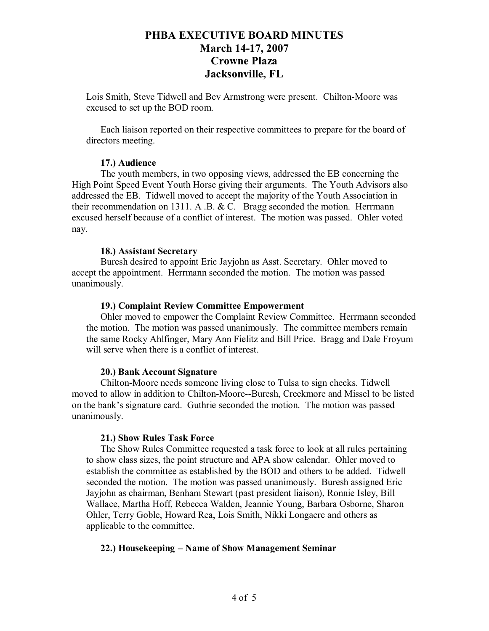Lois Smith, Steve Tidwell and Bev Armstrong were present. Chilton-Moore was excused to set up the BOD room.

Each liaison reported on their respective committees to prepare for the board of directors meeting.

## **17.) Audience**

The youth members, in two opposing views, addressed the EB concerning the High Point Speed Event Youth Horse giving their arguments. The Youth Advisors also addressed the EB. Tidwell moved to accept the majority of the Youth Association in their recommendation on 1311. A .B. & C. Bragg seconded the motion. Herrmann excused herself because of a conflict of interest. The motion was passed. Ohler voted nay.

# **18.) Assistant Secretary**

Buresh desired to appoint Eric Jayjohn as Asst. Secretary. Ohler moved to accept the appointment. Herrmann seconded the motion. The motion was passed unanimously.

# **19.) Complaint Review Committee Empowerment**

Ohler moved to empower the Complaint Review Committee. Herrmann seconded the motion. The motion was passed unanimously. The committee members remain the same Rocky Ahlfinger, Mary Ann Fielitz and Bill Price. Bragg and Dale Froyum will serve when there is a conflict of interest.

## **20.) Bank Account Signature**

Chilton-Moore needs someone living close to Tulsa to sign checks. Tidwell moved to allow in addition to Chilton-Moore--Buresh, Creekmore and Missel to be listed on the bank's signature card. Guthrie seconded the motion. The motion was passed unanimously.

# **21.) Show Rules Task Force**

The Show Rules Committee requested a task force to look at all rules pertaining to show class sizes, the point structure and APA show calendar. Ohler moved to establish the committee as established by the BOD and others to be added. Tidwell seconded the motion. The motion was passed unanimously. Buresh assigned Eric Jayjohn as chairman, Benham Stewart (past president liaison), Ronnie Isley, Bill Wallace, Martha Hoff, Rebecca Walden, Jeannie Young, Barbara Osborne, Sharon Ohler, Terry Goble, Howard Rea, Lois Smith, Nikki Longacre and others as applicable to the committee.

# **22.) Housekeeping – Name of Show Management Seminar**